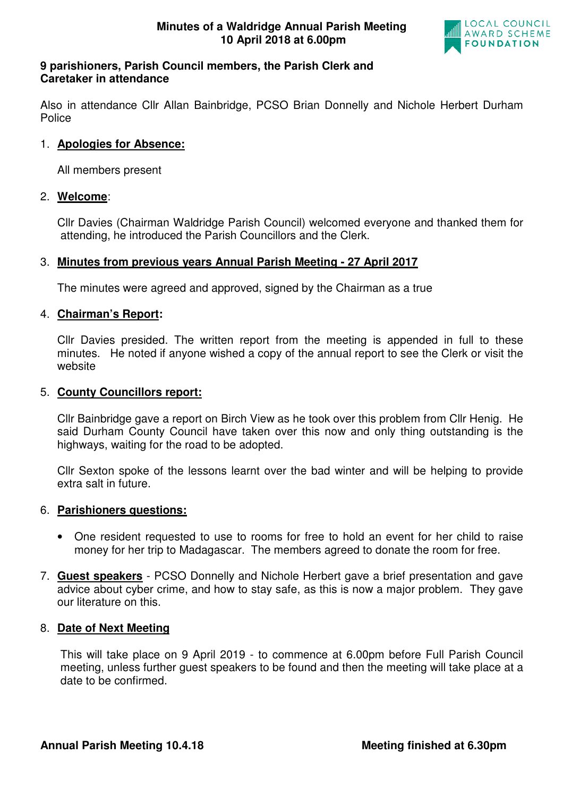

### **9 parishioners, Parish Council members, the Parish Clerk and Caretaker in attendance**

Also in attendance Cllr Allan Bainbridge, PCSO Brian Donnelly and Nichole Herbert Durham Police

## 1. **Apologies for Absence:**

All members present

#### 2. **Welcome**:

Cllr Davies (Chairman Waldridge Parish Council) welcomed everyone and thanked them for attending, he introduced the Parish Councillors and the Clerk.

# 3. **Minutes from previous years Annual Parish Meeting - 27 April 2017**

The minutes were agreed and approved, signed by the Chairman as a true

#### 4. **Chairman's Report:**

Cllr Davies presided. The written report from the meeting is appended in full to these minutes. He noted if anyone wished a copy of the annual report to see the Clerk or visit the website

#### 5. **County Councillors report:**

Cllr Bainbridge gave a report on Birch View as he took over this problem from Cllr Henig. He said Durham County Council have taken over this now and only thing outstanding is the highways, waiting for the road to be adopted.

Cllr Sexton spoke of the lessons learnt over the bad winter and will be helping to provide extra salt in future.

#### 6. **Parishioners questions:**

- One resident requested to use to rooms for free to hold an event for her child to raise money for her trip to Madagascar. The members agreed to donate the room for free.
- 7. **Guest speakers** PCSO Donnelly and Nichole Herbert gave a brief presentation and gave advice about cyber crime, and how to stay safe, as this is now a major problem. They gave our literature on this.

#### 8. **Date of Next Meeting**

 This will take place on 9 April 2019 - to commence at 6.00pm before Full Parish Council meeting, unless further guest speakers to be found and then the meeting will take place at a date to be confirmed.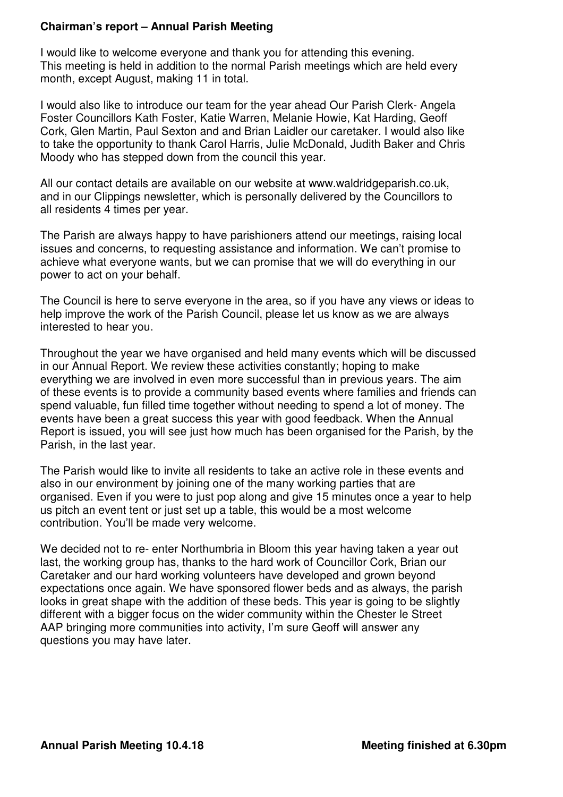## **Chairman's report – Annual Parish Meeting**

I would like to welcome everyone and thank you for attending this evening. This meeting is held in addition to the normal Parish meetings which are held every month, except August, making 11 in total.

I would also like to introduce our team for the year ahead Our Parish Clerk- Angela Foster Councillors Kath Foster, Katie Warren, Melanie Howie, Kat Harding, Geoff Cork, Glen Martin, Paul Sexton and and Brian Laidler our caretaker. I would also like to take the opportunity to thank Carol Harris, Julie McDonald, Judith Baker and Chris Moody who has stepped down from the council this year.

All our contact details are available on our website at www.waldridgeparish.co.uk, and in our Clippings newsletter, which is personally delivered by the Councillors to all residents 4 times per year.

The Parish are always happy to have parishioners attend our meetings, raising local issues and concerns, to requesting assistance and information. We can't promise to achieve what everyone wants, but we can promise that we will do everything in our power to act on your behalf.

The Council is here to serve everyone in the area, so if you have any views or ideas to help improve the work of the Parish Council, please let us know as we are always interested to hear you.

Throughout the year we have organised and held many events which will be discussed in our Annual Report. We review these activities constantly; hoping to make everything we are involved in even more successful than in previous years. The aim of these events is to provide a community based events where families and friends can spend valuable, fun filled time together without needing to spend a lot of money. The events have been a great success this year with good feedback. When the Annual Report is issued, you will see just how much has been organised for the Parish, by the Parish, in the last year.

The Parish would like to invite all residents to take an active role in these events and also in our environment by joining one of the many working parties that are organised. Even if you were to just pop along and give 15 minutes once a year to help us pitch an event tent or just set up a table, this would be a most welcome contribution. You'll be made very welcome.

We decided not to re- enter Northumbria in Bloom this year having taken a year out last, the working group has, thanks to the hard work of Councillor Cork, Brian our Caretaker and our hard working volunteers have developed and grown beyond expectations once again. We have sponsored flower beds and as always, the parish looks in great shape with the addition of these beds. This year is going to be slightly different with a bigger focus on the wider community within the Chester le Street AAP bringing more communities into activity, I'm sure Geoff will answer any questions you may have later.